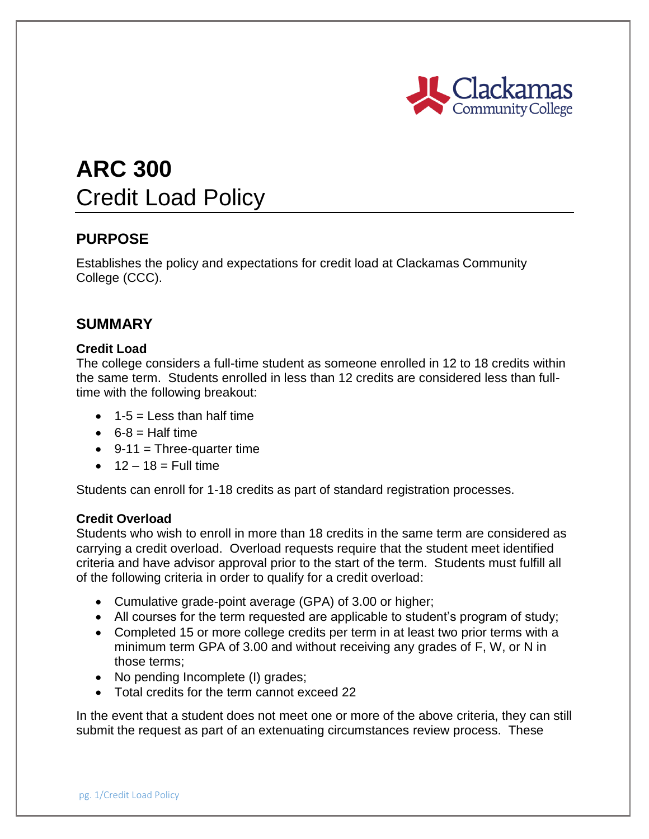

# **ARC 300** Credit Load Policy

## **PURPOSE**

Establishes the policy and expectations for credit load at Clackamas Community College (CCC).

### **SUMMARY**

#### **Credit Load**

The college considers a full-time student as someone enrolled in 12 to 18 credits within the same term. Students enrolled in less than 12 credits are considered less than fulltime with the following breakout:

- $\bullet$  1-5 = Less than half time
- $6-8$  = Half time
- $\bullet$  9-11 = Three-quarter time
- $\bullet$  12 18 = Full time

Students can enroll for 1-18 credits as part of standard registration processes.

#### **Credit Overload**

Students who wish to enroll in more than 18 credits in the same term are considered as carrying a credit overload. Overload requests require that the student meet identified criteria and have advisor approval prior to the start of the term. Students must fulfill all of the following criteria in order to qualify for a credit overload:

- Cumulative grade-point average (GPA) of 3.00 or higher;
- All courses for the term requested are applicable to student's program of study;
- Completed 15 or more college credits per term in at least two prior terms with a minimum term GPA of 3.00 and without receiving any grades of F, W, or N in those terms;
- No pending Incomplete (I) grades;
- Total credits for the term cannot exceed 22

In the event that a student does not meet one or more of the above criteria, they can still submit the request as part of an extenuating circumstances review process. These